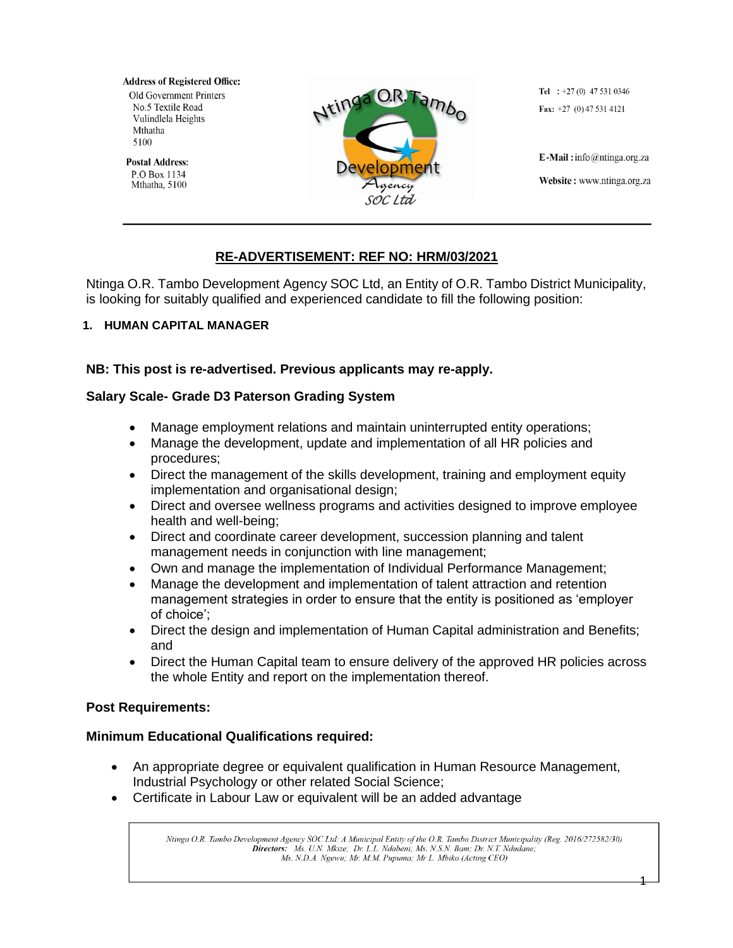**Address of Registered Office: Old Government Printers** No.5 Textile Road Vulindlela Heights Mthatha 5100

**Postal Address:** P.O Box 1134 Mthatha, 5100



Tel :  $+27(0)$  47 531 0346 Fax:  $+27$  (0) 47 531 4121

E-Mail: info@ntinga.org.za Website: www.ntinga.org.za

# **RE-ADVERTISEMENT: REF NO: HRM/03/2021**

Ntinga O.R. Tambo Development Agency SOC Ltd, an Entity of O.R. Tambo District Municipality, is looking for suitably qualified and experienced candidate to fill the following position:

## **1. HUMAN CAPITAL MANAGER**

# **NB: This post is re-advertised. Previous applicants may re-apply.**

## **Salary Scale- Grade D3 Paterson Grading System**

- Manage employment relations and maintain uninterrupted entity operations;
- Manage the development, update and implementation of all HR policies and procedures;
- Direct the management of the skills development, training and employment equity implementation and organisational design;
- Direct and oversee wellness programs and activities designed to improve employee health and well-being;
- Direct and coordinate career development, succession planning and talent management needs in conjunction with line management;
- Own and manage the implementation of Individual Performance Management;
- Manage the development and implementation of talent attraction and retention management strategies in order to ensure that the entity is positioned as 'employer of choice';
- Direct the design and implementation of Human Capital administration and Benefits; and
- Direct the Human Capital team to ensure delivery of the approved HR policies across the whole Entity and report on the implementation thereof.

### **Post Requirements:**

# **Minimum Educational Qualifications required:**

- An appropriate degree or equivalent qualification in Human Resource Management, Industrial Psychology or other related Social Science;
- Certificate in Labour Law or equivalent will be an added advantage

Ntinga O.R. Tambo Development Agency SOC Ltd: A Municipal Entity of the O.R. Tambo District Municipality (Reg. 2016/272582/30) Directors: Ms. U.N. Mkize; Dr. L.L. Ndabeni; Ms. N.S.N. Bam; Dr. N.T. Ndudane; Ms. N.D.A. Ngewu; Mr. M.M. Pupuma; Mr L. Mbiko (Acting CEO)